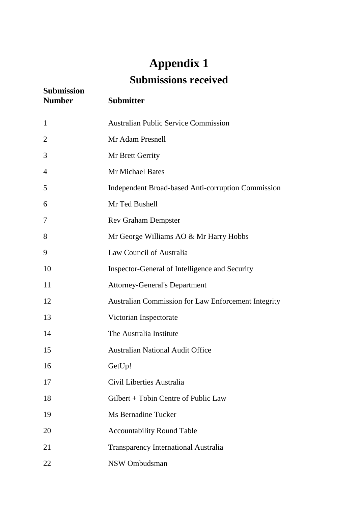## **Appendix 1 Submissions received**

| <b>Submission</b><br><b>Number</b> | <b>Submitter</b>                                    |
|------------------------------------|-----------------------------------------------------|
| $\mathbf{1}$                       | <b>Australian Public Service Commission</b>         |
| $\overline{2}$                     | Mr Adam Presnell                                    |
| 3                                  | Mr Brett Gerrity                                    |
| $\overline{4}$                     | <b>Mr Michael Bates</b>                             |
| 5                                  | Independent Broad-based Anti-corruption Commission  |
| 6                                  | Mr Ted Bushell                                      |
| 7                                  | <b>Rev Graham Dempster</b>                          |
| 8                                  | Mr George Williams AO & Mr Harry Hobbs              |
| 9                                  | Law Council of Australia                            |
| 10                                 | Inspector-General of Intelligence and Security      |
| 11                                 | <b>Attorney-General's Department</b>                |
| 12                                 | Australian Commission for Law Enforcement Integrity |
| 13                                 | Victorian Inspectorate                              |
| 14                                 | The Australia Institute                             |
| 15                                 | <b>Australian National Audit Office</b>             |
| 16                                 | GetUp!                                              |
| 17                                 | Civil Liberties Australia                           |
| 18                                 | Gilbert + Tobin Centre of Public Law                |
| 19                                 | Ms Bernadine Tucker                                 |
| 20                                 | <b>Accountability Round Table</b>                   |
| 21                                 | <b>Transparency International Australia</b>         |
| 22                                 | NSW Ombudsman                                       |